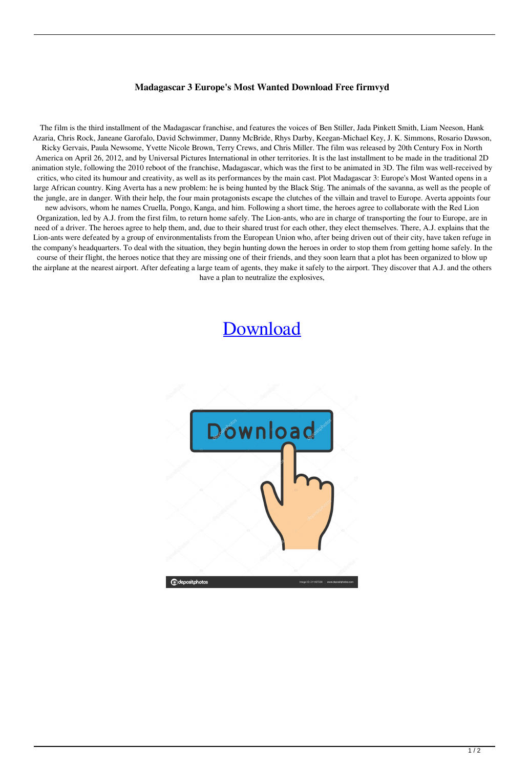## **Madagascar 3 Europe's Most Wanted Download Free firmvyd**

The film is the third installment of the Madagascar franchise, and features the voices of Ben Stiller, Jada Pinkett Smith, Liam Neeson, Hank Azaria, Chris Rock, Janeane Garofalo, David Schwimmer, Danny McBride, Rhys Darby, Keegan-Michael Key, J. K. Simmons, Rosario Dawson, Ricky Gervais, Paula Newsome, Yvette Nicole Brown, Terry Crews, and Chris Miller. The film was released by 20th Century Fox in North America on April 26, 2012, and by Universal Pictures International in other territories. It is the last installment to be made in the traditional 2D animation style, following the 2010 reboot of the franchise, Madagascar, which was the first to be animated in 3D. The film was well-received by critics, who cited its humour and creativity, as well as its performances by the main cast. Plot Madagascar 3: Europe's Most Wanted opens in a large African country. King Averta has a new problem: he is being hunted by the Black Stig. The animals of the savanna, as well as the people of the jungle, are in danger. With their help, the four main protagonists escape the clutches of the villain and travel to Europe. Averta appoints four new advisors, whom he names Cruella, Pongo, Kanga, and him. Following a short time, the heroes agree to collaborate with the Red Lion Organization, led by A.J. from the first film, to return home safely. The Lion-ants, who are in charge of transporting the four to Europe, are in need of a driver. The heroes agree to help them, and, due to their shared trust for each other, they elect themselves. There, A.J. explains that the Lion-ants were defeated by a group of environmentalists from the European Union who, after being driven out of their city, have taken refuge in the company's headquarters. To deal with the situation, they begin hunting down the heroes in order to stop them from getting home safely. In the course of their flight, the heroes notice that they are missing one of their friends, and they soon learn that a plot has been organized to blow up the airplane at the nearest airport. After defeating a large team of agents, they make it safely to the airport. They discover that A.J. and the others have a plan to neutralize the explosives,

## [Download](http://evacdir.com/fluxes.broadband/harder.ZG93bmxvYWR8SkQwWTNSOGZERTJOVEkwTmpNd05UQjhmREkxTnpSOGZDaE5LU0J5WldGa0xXSnNiMmNnVzBaaGMzUWdSMFZPWFE/bWFkYWdhc2NhciAzIGV1cm9wZSdzIG1vc3Qgd2FudGVkIGRvd25sb2FkIGZyZWUbWF/hemoglobin/henri/lingo.frivolic)